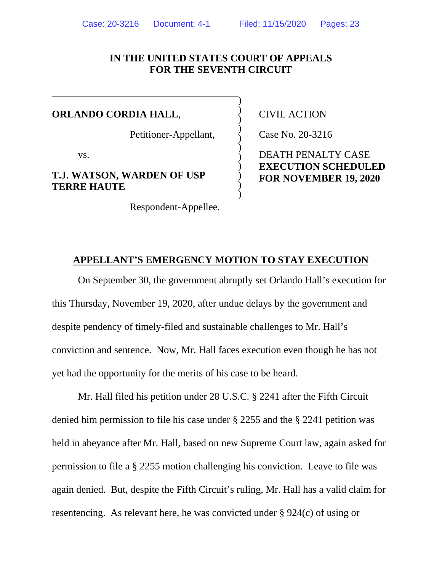## **IN THE UNITED STATES COURT OF APPEALS FOR THE SEVENTH CIRCUIT**

)  $\big)$  $\big)$  $\big)$  $\big)$  $\big)$  $\big)$  $\big)$  $\big)$  $\big)$  $\big)$ 

#### **ORLANDO CORDIA HALL**,

Petitioner-Appellant,

vs.

### **T.J. WATSON, WARDEN OF USP TERRE HAUTE**

Respondent-Appellee.

CIVIL ACTION

Case No. 20-3216

DEATH PENALTY CASE **EXECUTION SCHEDULED FOR NOVEMBER 19, 2020** 

#### **APPELLANT'S EMERGENCY MOTION TO STAY EXECUTION**

On September 30, the government abruptly set Orlando Hall's execution for this Thursday, November 19, 2020, after undue delays by the government and despite pendency of timely-filed and sustainable challenges to Mr. Hall's conviction and sentence. Now, Mr. Hall faces execution even though he has not yet had the opportunity for the merits of his case to be heard.

Mr. Hall filed his petition under 28 U.S.C. § 2241 after the Fifth Circuit denied him permission to file his case under § 2255 and the § 2241 petition was held in abeyance after Mr. Hall, based on new Supreme Court law, again asked for permission to file a § 2255 motion challenging his conviction. Leave to file was again denied. But, despite the Fifth Circuit's ruling, Mr. Hall has a valid claim for resentencing. As relevant here, he was convicted under § 924(c) of using or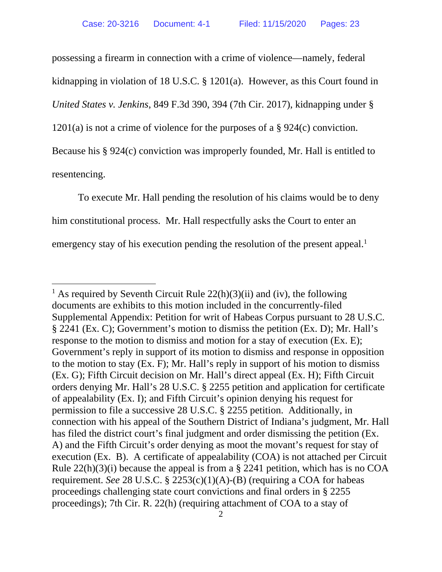possessing a firearm in connection with a crime of violence—namely, federal kidnapping in violation of 18 U.S.C. § 1201(a). However, as this Court found in *United States v. Jenkins*, 849 F.3d 390, 394 (7th Cir. 2017), kidnapping under § 1201(a) is not a crime of violence for the purposes of a § 924(c) conviction. Because his § 924(c) conviction was improperly founded, Mr. Hall is entitled to resentencing.

To execute Mr. Hall pending the resolution of his claims would be to deny him constitutional process. Mr. Hall respectfully asks the Court to enter an emergency stay of his execution pending the resolution of the present appeal.<sup>1</sup>

<sup>&</sup>lt;sup>1</sup> As required by Seventh Circuit Rule  $22(h)(3)(ii)$  and (iv), the following documents are exhibits to this motion included in the concurrently-filed Supplemental Appendix: Petition for writ of Habeas Corpus pursuant to 28 U.S.C. § 2241 (Ex. C); Government's motion to dismiss the petition (Ex. D); Mr. Hall's response to the motion to dismiss and motion for a stay of execution (Ex. E); Government's reply in support of its motion to dismiss and response in opposition to the motion to stay (Ex. F); Mr. Hall's reply in support of his motion to dismiss (Ex. G); Fifth Circuit decision on Mr. Hall's direct appeal (Ex. H); Fifth Circuit orders denying Mr. Hall's 28 U.S.C. § 2255 petition and application for certificate of appealability (Ex. I); and Fifth Circuit's opinion denying his request for permission to file a successive 28 U.S.C. § 2255 petition. Additionally, in connection with his appeal of the Southern District of Indiana's judgment, Mr. Hall has filed the district court's final judgment and order dismissing the petition (Ex. A) and the Fifth Circuit's order denying as moot the movant's request for stay of execution (Ex. B). A certificate of appealability (COA) is not attached per Circuit Rule 22(h)(3)(i) because the appeal is from a § 2241 petition, which has is no COA requirement. *See* 28 U.S.C. § 2253(c)(1)(A)-(B) (requiring a COA for habeas proceedings challenging state court convictions and final orders in § 2255 proceedings); 7th Cir. R. 22(h) (requiring attachment of COA to a stay of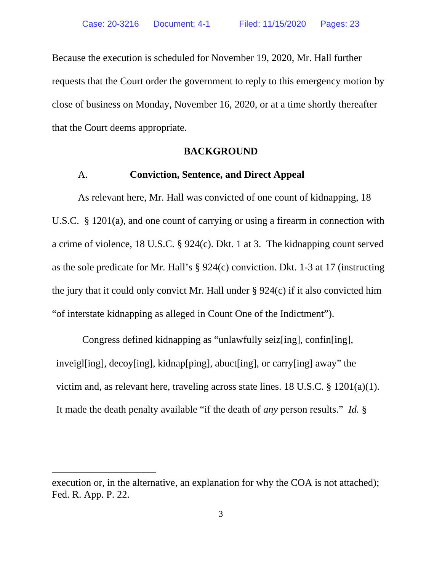Because the execution is scheduled for November 19, 2020, Mr. Hall further requests that the Court order the government to reply to this emergency motion by close of business on Monday, November 16, 2020, or at a time shortly thereafter that the Court deems appropriate.

### **BACKGROUND**

#### A. **Conviction, Sentence, and Direct Appeal**

As relevant here, Mr. Hall was convicted of one count of kidnapping, 18 U.S.C. § 1201(a), and one count of carrying or using a firearm in connection with a crime of violence, 18 U.S.C. § 924(c). Dkt. 1 at 3. The kidnapping count served as the sole predicate for Mr. Hall's § 924(c) conviction. Dkt. 1-3 at 17 (instructing the jury that it could only convict Mr. Hall under § 924(c) if it also convicted him "of interstate kidnapping as alleged in Count One of the Indictment").

Congress defined kidnapping as "unlawfully seiz[ing], confin[ing], inveigl[ing], decoy[ing], kidnap[ping], abuct[ing], or carry[ing] away" the victim and, as relevant here, traveling across state lines. 18 U.S.C. § 1201(a)(1). It made the death penalty available "if the death of *any* person results." *Id.* §

execution or, in the alternative, an explanation for why the COA is not attached); Fed. R. App. P. 22.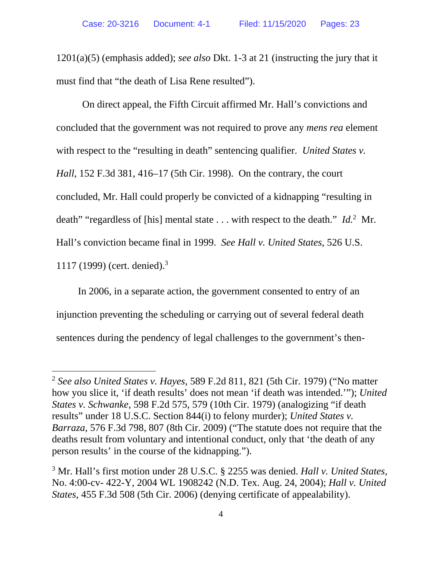1201(a)(5) (emphasis added); *see also* Dkt. 1-3 at 21 (instructing the jury that it must find that "the death of Lisa Rene resulted").

On direct appeal, the Fifth Circuit affirmed Mr. Hall's convictions and concluded that the government was not required to prove any *mens rea* element with respect to the "resulting in death" sentencing qualifier. *United States v. Hall*, 152 F.3d 381, 416–17 (5th Cir. 1998). On the contrary, the court concluded, Mr. Hall could properly be convicted of a kidnapping "resulting in death" "regardless of [his] mental state . . . with respect to the death." *Id.*2 Mr. Hall's conviction became final in 1999. *See Hall v. United States*, 526 U.S. 1117 (1999) (cert. denied).3

In 2006, in a separate action, the government consented to entry of an injunction preventing the scheduling or carrying out of several federal death sentences during the pendency of legal challenges to the government's then-

<sup>2</sup> *See also United States v. Hayes*, 589 F.2d 811, 821 (5th Cir. 1979) ("No matter how you slice it, 'if death results' does not mean 'if death was intended.'"); *United States v. Schwanke*, 598 F.2d 575, 579 (10th Cir. 1979) (analogizing "if death results" under 18 U.S.C. Section 844(i) to felony murder); *United States v. Barraza*, 576 F.3d 798, 807 (8th Cir. 2009) ("The statute does not require that the deaths result from voluntary and intentional conduct, only that 'the death of any person results' in the course of the kidnapping.").

<sup>3</sup> Mr. Hall's first motion under 28 U.S.C. § 2255 was denied. *Hall v. United States*, No. 4:00-cv- 422-Y, 2004 WL 1908242 (N.D. Tex. Aug. 24, 2004); *Hall v. United States*, 455 F.3d 508 (5th Cir. 2006) (denying certificate of appealability).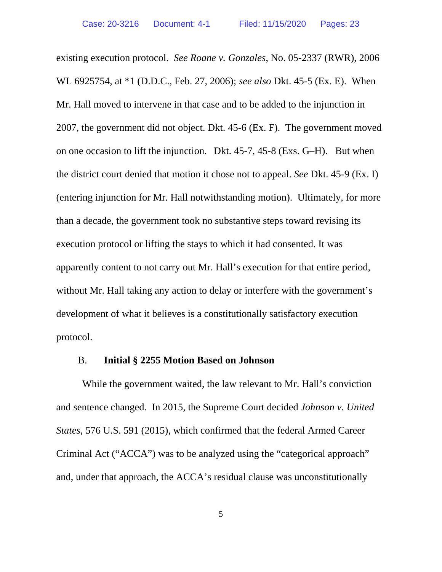existing execution protocol. *See Roane v. Gonzales*, No. 05-2337 (RWR), 2006 WL 6925754, at \*1 (D.D.C., Feb. 27, 2006); *see also* Dkt. 45-5 (Ex. E). When Mr. Hall moved to intervene in that case and to be added to the injunction in 2007, the government did not object. Dkt. 45-6 (Ex. F). The government moved on one occasion to lift the injunction. Dkt. 45-7, 45-8 (Exs. G–H). But when the district court denied that motion it chose not to appeal. *See* Dkt. 45-9 (Ex. I) (entering injunction for Mr. Hall notwithstanding motion). Ultimately, for more than a decade, the government took no substantive steps toward revising its execution protocol or lifting the stays to which it had consented. It was apparently content to not carry out Mr. Hall's execution for that entire period, without Mr. Hall taking any action to delay or interfere with the government's development of what it believes is a constitutionally satisfactory execution protocol.

#### B. **Initial § 2255 Motion Based on Johnson**

While the government waited, the law relevant to Mr. Hall's conviction and sentence changed. In 2015, the Supreme Court decided *Johnson v. United States*, 576 U.S. 591 (2015), which confirmed that the federal Armed Career Criminal Act ("ACCA") was to be analyzed using the "categorical approach" and, under that approach, the ACCA's residual clause was unconstitutionally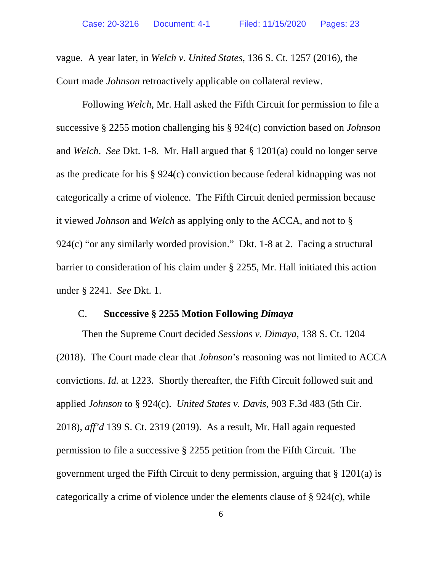vague. A year later, in *Welch v. United States*, 136 S. Ct. 1257 (2016), the Court made *Johnson* retroactively applicable on collateral review.

Following *Welch*, Mr. Hall asked the Fifth Circuit for permission to file a successive § 2255 motion challenging his § 924(c) conviction based on *Johnson*  and *Welch*. *See* Dkt. 1-8. Mr. Hall argued that § 1201(a) could no longer serve as the predicate for his § 924(c) conviction because federal kidnapping was not categorically a crime of violence. The Fifth Circuit denied permission because it viewed *Johnson* and *Welch* as applying only to the ACCA, and not to § 924(c) "or any similarly worded provision." Dkt. 1-8 at 2. Facing a structural barrier to consideration of his claim under § 2255, Mr. Hall initiated this action under § 2241. *See* Dkt. 1.

#### C. **Successive § 2255 Motion Following** *Dimaya*

Then the Supreme Court decided *Sessions v. Dimaya*, 138 S. Ct. 1204 (2018). The Court made clear that *Johnson*'s reasoning was not limited to ACCA convictions. *Id.* at 1223. Shortly thereafter, the Fifth Circuit followed suit and applied *Johnson* to § 924(c). *United States v. Davis*, 903 F.3d 483 (5th Cir. 2018), *aff'd* 139 S. Ct. 2319 (2019). As a result, Mr. Hall again requested permission to file a successive § 2255 petition from the Fifth Circuit. The government urged the Fifth Circuit to deny permission, arguing that § 1201(a) is categorically a crime of violence under the elements clause of § 924(c), while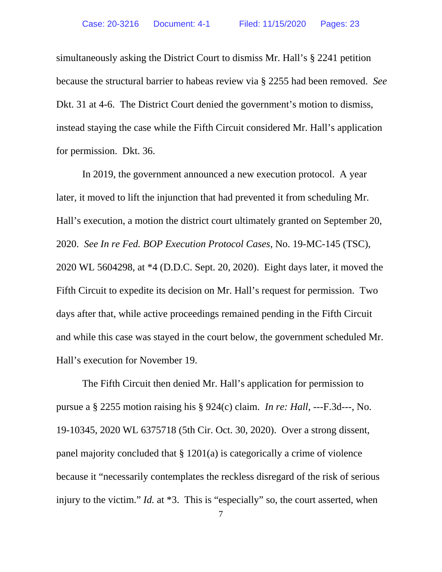simultaneously asking the District Court to dismiss Mr. Hall's § 2241 petition because the structural barrier to habeas review via § 2255 had been removed. *See*  Dkt. 31 at 4-6. The District Court denied the government's motion to dismiss, instead staying the case while the Fifth Circuit considered Mr. Hall's application for permission. Dkt. 36.

In 2019, the government announced a new execution protocol. A year later, it moved to lift the injunction that had prevented it from scheduling Mr. Hall's execution, a motion the district court ultimately granted on September 20, 2020. *See In re Fed. BOP Execution Protocol Cases*, No. 19-MC-145 (TSC), 2020 WL 5604298, at \*4 (D.D.C. Sept. 20, 2020). Eight days later, it moved the Fifth Circuit to expedite its decision on Mr. Hall's request for permission. Two days after that, while active proceedings remained pending in the Fifth Circuit and while this case was stayed in the court below, the government scheduled Mr. Hall's execution for November 19.

The Fifth Circuit then denied Mr. Hall's application for permission to pursue a § 2255 motion raising his § 924(c) claim. *In re: Hall*, ---F.3d---, No. 19-10345, 2020 WL 6375718 (5th Cir. Oct. 30, 2020). Over a strong dissent, panel majority concluded that § 1201(a) is categorically a crime of violence because it "necessarily contemplates the reckless disregard of the risk of serious injury to the victim." *Id.* at \*3. This is "especially" so, the court asserted, when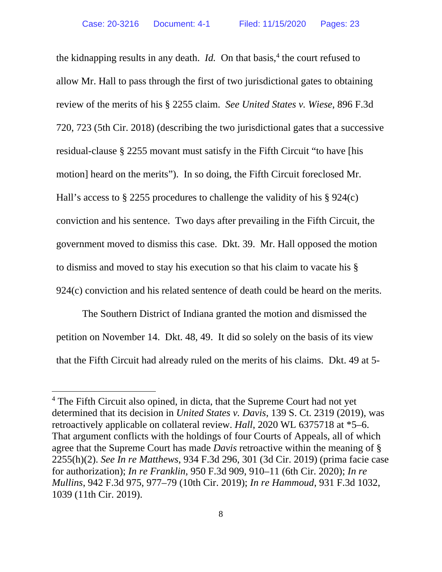the kidnapping results in any death. *Id.* On that basis,<sup>4</sup> the court refused to allow Mr. Hall to pass through the first of two jurisdictional gates to obtaining review of the merits of his § 2255 claim. *See United States v. Wiese*, 896 F.3d 720, 723 (5th Cir. 2018) (describing the two jurisdictional gates that a successive residual-clause § 2255 movant must satisfy in the Fifth Circuit "to have [his motion] heard on the merits"). In so doing, the Fifth Circuit foreclosed Mr. Hall's access to § 2255 procedures to challenge the validity of his § 924(c) conviction and his sentence. Two days after prevailing in the Fifth Circuit, the government moved to dismiss this case. Dkt. 39. Mr. Hall opposed the motion to dismiss and moved to stay his execution so that his claim to vacate his § 924(c) conviction and his related sentence of death could be heard on the merits.

The Southern District of Indiana granted the motion and dismissed the petition on November 14. Dkt. 48, 49. It did so solely on the basis of its view that the Fifth Circuit had already ruled on the merits of his claims. Dkt. 49 at 5-

<sup>&</sup>lt;sup>4</sup> The Fifth Circuit also opined, in dicta, that the Supreme Court had not yet determined that its decision in *United States v. Davis*, 139 S. Ct. 2319 (2019), was retroactively applicable on collateral review. *Hall*, 2020 WL 6375718 at \*5–6. That argument conflicts with the holdings of four Courts of Appeals, all of which agree that the Supreme Court has made *Davis* retroactive within the meaning of § 2255(h)(2). *See In re Matthews*, 934 F.3d 296, 301 (3d Cir. 2019) (prima facie case for authorization); *In re Franklin*, 950 F.3d 909, 910–11 (6th Cir. 2020); *In re Mullins*, 942 F.3d 975, 977–79 (10th Cir. 2019); *In re Hammoud*, 931 F.3d 1032, 1039 (11th Cir. 2019).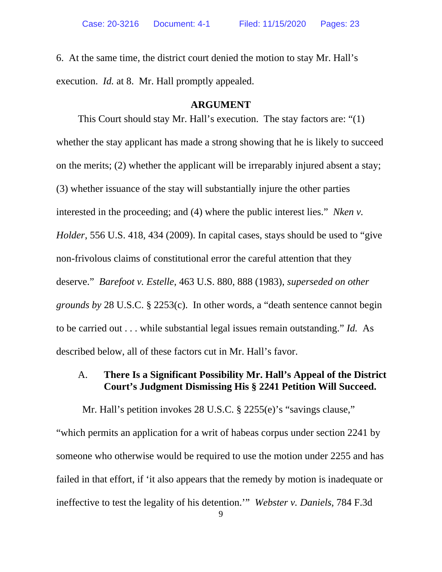6. At the same time, the district court denied the motion to stay Mr. Hall's execution. *Id.* at 8. Mr. Hall promptly appealed.

### **ARGUMENT**

This Court should stay Mr. Hall's execution. The stay factors are: "(1) whether the stay applicant has made a strong showing that he is likely to succeed on the merits; (2) whether the applicant will be irreparably injured absent a stay; (3) whether issuance of the stay will substantially injure the other parties interested in the proceeding; and (4) where the public interest lies." *Nken v. Holder*, 556 U.S. 418, 434 (2009). In capital cases, stays should be used to "give non-frivolous claims of constitutional error the careful attention that they deserve." *Barefoot v. Estelle*, 463 U.S. 880, 888 (1983), *superseded on other grounds by* 28 U.S.C. § 2253(c). In other words, a "death sentence cannot begin to be carried out . . . while substantial legal issues remain outstanding." *Id.* As described below, all of these factors cut in Mr. Hall's favor.

### A. **There Is a Significant Possibility Mr. Hall's Appeal of the District Court's Judgment Dismissing His § 2241 Petition Will Succeed.**

Mr. Hall's petition invokes 28 U.S.C. § 2255(e)'s "savings clause," "which permits an application for a writ of habeas corpus under section 2241 by someone who otherwise would be required to use the motion under 2255 and has failed in that effort, if 'it also appears that the remedy by motion is inadequate or ineffective to test the legality of his detention.'" *Webster v. Daniels*, 784 F.3d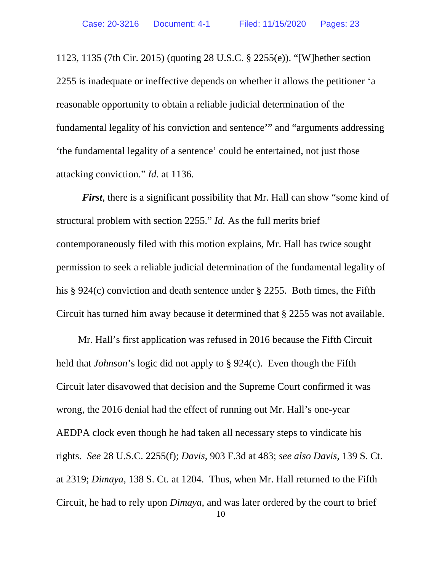1123, 1135 (7th Cir. 2015) (quoting 28 U.S.C. § 2255(e)). "[W]hether section 2255 is inadequate or ineffective depends on whether it allows the petitioner 'a reasonable opportunity to obtain a reliable judicial determination of the fundamental legality of his conviction and sentence'" and "arguments addressing 'the fundamental legality of a sentence' could be entertained, not just those attacking conviction." *Id.* at 1136.

*First*, there is a significant possibility that Mr. Hall can show "some kind of structural problem with section 2255." *Id.* As the full merits brief contemporaneously filed with this motion explains, Mr. Hall has twice sought permission to seek a reliable judicial determination of the fundamental legality of his § 924(c) conviction and death sentence under § 2255. Both times, the Fifth Circuit has turned him away because it determined that § 2255 was not available.

Mr. Hall's first application was refused in 2016 because the Fifth Circuit held that *Johnson*'s logic did not apply to § 924(c). Even though the Fifth Circuit later disavowed that decision and the Supreme Court confirmed it was wrong, the 2016 denial had the effect of running out Mr. Hall's one-year AEDPA clock even though he had taken all necessary steps to vindicate his rights. *See* 28 U.S.C. 2255(f); *Davis*, 903 F.3d at 483; *see also Davis*, 139 S. Ct. at 2319; *Dimaya*, 138 S. Ct. at 1204. Thus, when Mr. Hall returned to the Fifth Circuit, he had to rely upon *Dimaya*, and was later ordered by the court to brief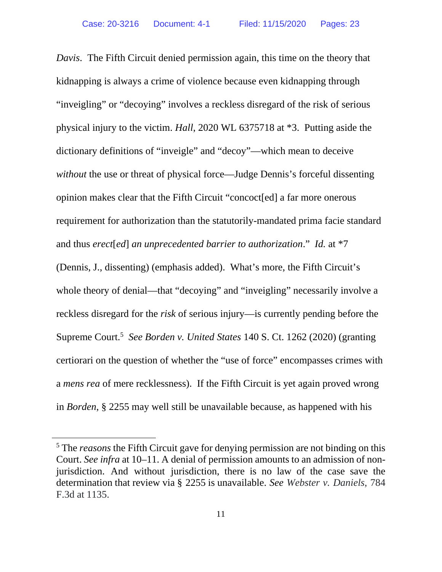*Davis*. The Fifth Circuit denied permission again, this time on the theory that kidnapping is always a crime of violence because even kidnapping through "inveigling" or "decoying" involves a reckless disregard of the risk of serious physical injury to the victim. *Hall*, 2020 WL 6375718 at \*3. Putting aside the dictionary definitions of "inveigle" and "decoy"—which mean to deceive *without* the use or threat of physical force—Judge Dennis's forceful dissenting opinion makes clear that the Fifth Circuit "concoct[ed] a far more onerous requirement for authorization than the statutorily-mandated prima facie standard and thus *erect*[*ed*] *an unprecedented barrier to authorization*." *Id.* at \*7 (Dennis, J., dissenting) (emphasis added). What's more, the Fifth Circuit's

whole theory of denial—that "decoying" and "inveigling" necessarily involve a reckless disregard for the *risk* of serious injury—is currently pending before the Supreme Court.5 *See Borden v. United States* 140 S. Ct. 1262 (2020) (granting certiorari on the question of whether the "use of force" encompasses crimes with a *mens rea* of mere recklessness). If the Fifth Circuit is yet again proved wrong in *Borden*, § 2255 may well still be unavailable because, as happened with his

<sup>&</sup>lt;sup>5</sup> The *reasons* the Fifth Circuit gave for denying permission are not binding on this Court. *See infra* at 10–11. A denial of permission amounts to an admission of nonjurisdiction. And without jurisdiction, there is no law of the case save the determination that review via § 2255 is unavailable. *See Webster v. Daniels*, 784 F.3d at 1135.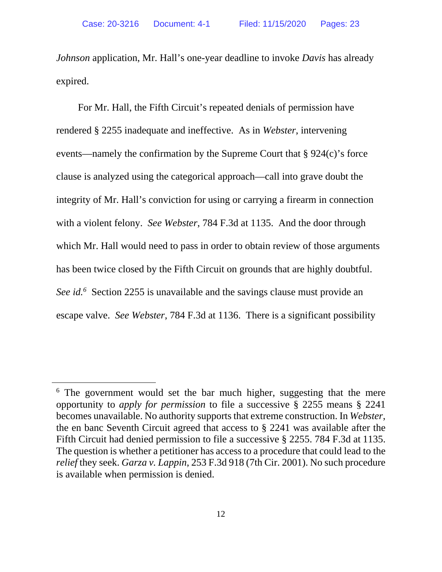*Johnson* application, Mr. Hall's one-year deadline to invoke *Davis* has already expired.

For Mr. Hall, the Fifth Circuit's repeated denials of permission have rendered § 2255 inadequate and ineffective. As in *Webster*, intervening events—namely the confirmation by the Supreme Court that § 924(c)'s force clause is analyzed using the categorical approach—call into grave doubt the integrity of Mr. Hall's conviction for using or carrying a firearm in connection with a violent felony. *See Webster*, 784 F.3d at 1135. And the door through which Mr. Hall would need to pass in order to obtain review of those arguments has been twice closed by the Fifth Circuit on grounds that are highly doubtful. *See id.6* Section 2255 is unavailable and the savings clause must provide an escape valve. *See Webster*, 784 F.3d at 1136. There is a significant possibility

<sup>&</sup>lt;sup>6</sup> The government would set the bar much higher, suggesting that the mere opportunity to *apply for permission* to file a successive § 2255 means § 2241 becomes unavailable. No authority supports that extreme construction. In *Webster*, the en banc Seventh Circuit agreed that access to § 2241 was available after the Fifth Circuit had denied permission to file a successive § 2255. 784 F.3d at 1135. The question is whether a petitioner has access to a procedure that could lead to the *relief* they seek. *Garza v. Lappin*, 253 F.3d 918 (7th Cir. 2001). No such procedure is available when permission is denied.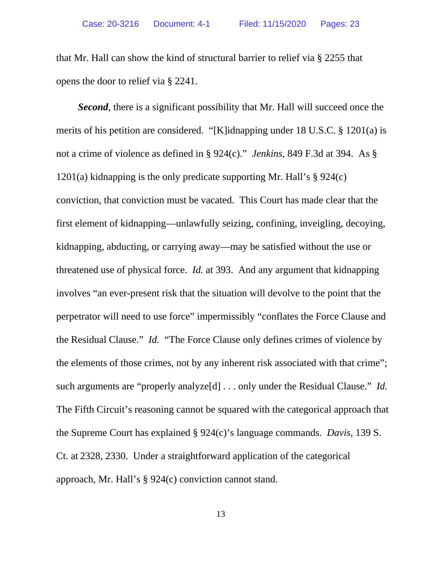that Mr. Hall can show the kind of structural barrier to relief via § 2255 that opens the door to relief via § 2241.

**Second**, there is a significant possibility that Mr. Hall will succeed once the merits of his petition are considered. "[K]idnapping under 18 U.S.C. § 1201(a) is not a crime of violence as defined in § 924(c)." *Jenkins*, 849 F.3d at 394. As § 1201(a) kidnapping is the only predicate supporting Mr. Hall's § 924(c) conviction, that conviction must be vacated. This Court has made clear that the first element of kidnapping—unlawfully seizing, confining, inveigling, decoying, kidnapping, abducting, or carrying away—may be satisfied without the use or threatened use of physical force. *Id.* at 393. And any argument that kidnapping involves "an ever-present risk that the situation will devolve to the point that the perpetrator will need to use force" impermissibly "conflates the Force Clause and the Residual Clause." *Id.* "The Force Clause only defines crimes of violence by the elements of those crimes, not by any inherent risk associated with that crime"; such arguments are "properly analyze[d] . . . only under the Residual Clause." *Id.*  The Fifth Circuit's reasoning cannot be squared with the categorical approach that the Supreme Court has explained § 924(c)'s language commands. *Davis*, 139 S. Ct. at 2328, 2330. Under a straightforward application of the categorical approach, Mr. Hall's § 924(c) conviction cannot stand.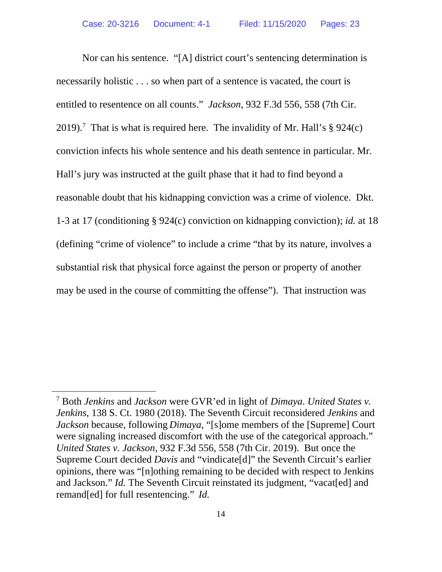Nor can his sentence. "[A] district court's sentencing determination is necessarily holistic . . . so when part of a sentence is vacated, the court is entitled to resentence on all counts." *Jackson*, 932 F.3d 556, 558 (7th Cir. 2019).<sup>7</sup> That is what is required here. The invalidity of Mr. Hall's  $\S 924(c)$ conviction infects his whole sentence and his death sentence in particular. Mr. Hall's jury was instructed at the guilt phase that it had to find beyond a reasonable doubt that his kidnapping conviction was a crime of violence. Dkt. 1-3 at 17 (conditioning § 924(c) conviction on kidnapping conviction); *id.* at 18 (defining "crime of violence" to include a crime "that by its nature, involves a substantial risk that physical force against the person or property of another may be used in the course of committing the offense"). That instruction was

<sup>7</sup> Both *Jenkins* and *Jackson* were GVR'ed in light of *Dimaya*. *United States v. Jenkins*, 138 S. Ct. 1980 (2018). The Seventh Circuit reconsidered *Jenkins* and *Jackson* because, following *Dimaya*, "[s]ome members of the [Supreme] Court were signaling increased discomfort with the use of the categorical approach." *United States v. Jackson*, 932 F.3d 556, 558 (7th Cir. 2019). But once the Supreme Court decided *Davis* and "vindicate[d]" the Seventh Circuit's earlier opinions, there was "[n]othing remaining to be decided with respect to Jenkins and Jackson." *Id.* The Seventh Circuit reinstated its judgment, "vacat[ed] and remand[ed] for full resentencing." *Id.*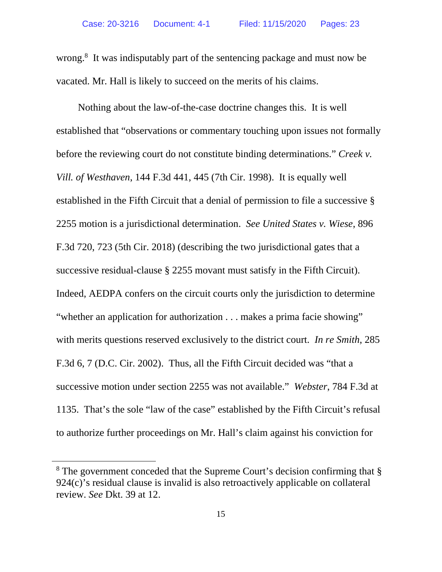wrong.<sup>8</sup> It was indisputably part of the sentencing package and must now be vacated. Mr. Hall is likely to succeed on the merits of his claims.

Nothing about the law-of-the-case doctrine changes this. It is well established that "observations or commentary touching upon issues not formally before the reviewing court do not constitute binding determinations." *Creek v. Vill. of Westhaven*, 144 F.3d 441, 445 (7th Cir. 1998). It is equally well established in the Fifth Circuit that a denial of permission to file a successive § 2255 motion is a jurisdictional determination. *See United States v. Wiese*, 896 F.3d 720, 723 (5th Cir. 2018) (describing the two jurisdictional gates that a successive residual-clause § 2255 movant must satisfy in the Fifth Circuit). Indeed, AEDPA confers on the circuit courts only the jurisdiction to determine "whether an application for authorization . . . makes a prima facie showing" with merits questions reserved exclusively to the district court. *In re Smith*, 285 F.3d 6, 7 (D.C. Cir. 2002). Thus, all the Fifth Circuit decided was "that a successive motion under section 2255 was not available." *Webster*, 784 F.3d at 1135. That's the sole "law of the case" established by the Fifth Circuit's refusal to authorize further proceedings on Mr. Hall's claim against his conviction for

<sup>&</sup>lt;sup>8</sup> The government conceded that the Supreme Court's decision confirming that § 924(c)'s residual clause is invalid is also retroactively applicable on collateral review. *See* Dkt. 39 at 12.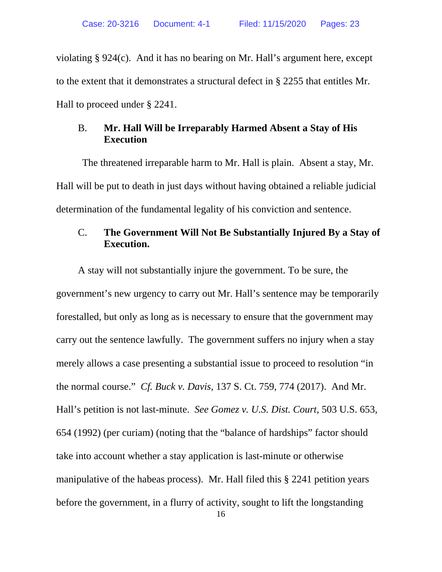violating § 924(c). And it has no bearing on Mr. Hall's argument here, except to the extent that it demonstrates a structural defect in § 2255 that entitles Mr. Hall to proceed under § 2241.

## B. **Mr. Hall Will be Irreparably Harmed Absent a Stay of His Execution**

The threatened irreparable harm to Mr. Hall is plain. Absent a stay, Mr. Hall will be put to death in just days without having obtained a reliable judicial determination of the fundamental legality of his conviction and sentence.

# C. **The Government Will Not Be Substantially Injured By a Stay of Execution.**

A stay will not substantially injure the government. To be sure, the government's new urgency to carry out Mr. Hall's sentence may be temporarily forestalled, but only as long as is necessary to ensure that the government may carry out the sentence lawfully. The government suffers no injury when a stay merely allows a case presenting a substantial issue to proceed to resolution "in the normal course." *Cf. Buck v. Davis*, 137 S. Ct. 759, 774 (2017). And Mr. Hall's petition is not last-minute. *See Gomez v. U.S. Dist. Court*, 503 U.S. 653, 654 (1992) (per curiam) (noting that the "balance of hardships" factor should take into account whether a stay application is last-minute or otherwise manipulative of the habeas process). Mr. Hall filed this § 2241 petition years before the government, in a flurry of activity, sought to lift the longstanding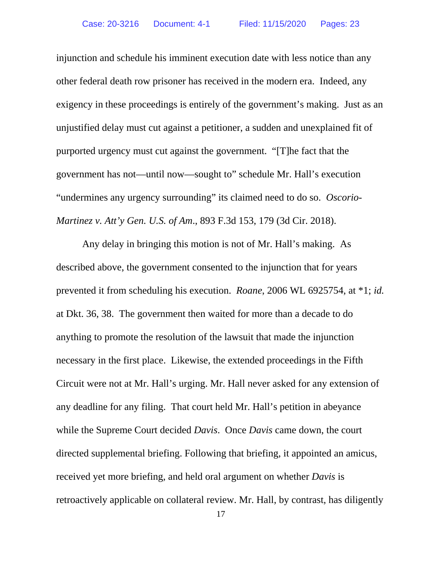injunction and schedule his imminent execution date with less notice than any other federal death row prisoner has received in the modern era. Indeed, any exigency in these proceedings is entirely of the government's making. Just as an unjustified delay must cut against a petitioner, a sudden and unexplained fit of purported urgency must cut against the government. "[T]he fact that the government has not—until now—sought to" schedule Mr. Hall's execution "undermines any urgency surrounding" its claimed need to do so. *Oscorio-Martinez v. Att'y Gen. U.S. of Am*., 893 F.3d 153, 179 (3d Cir. 2018).

Any delay in bringing this motion is not of Mr. Hall's making. As described above, the government consented to the injunction that for years prevented it from scheduling his execution. *Roane*, 2006 WL 6925754, at \*1; *id.*  at Dkt. 36, 38. The government then waited for more than a decade to do anything to promote the resolution of the lawsuit that made the injunction necessary in the first place. Likewise, the extended proceedings in the Fifth Circuit were not at Mr. Hall's urging. Mr. Hall never asked for any extension of any deadline for any filing. That court held Mr. Hall's petition in abeyance while the Supreme Court decided *Davis*. Once *Davis* came down, the court directed supplemental briefing. Following that briefing, it appointed an amicus, received yet more briefing, and held oral argument on whether *Davis* is retroactively applicable on collateral review. Mr. Hall, by contrast, has diligently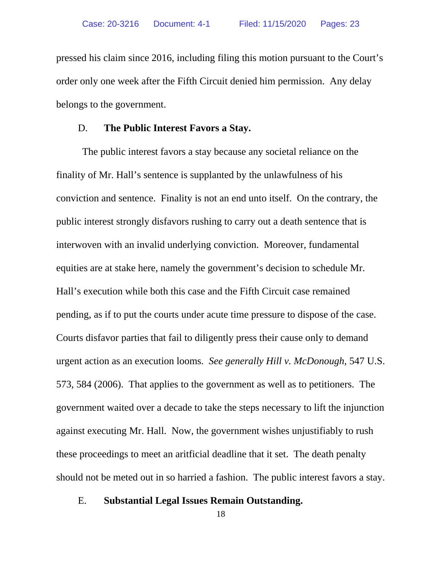pressed his claim since 2016, including filing this motion pursuant to the Court's order only one week after the Fifth Circuit denied him permission. Any delay belongs to the government.

#### D. **The Public Interest Favors a Stay.**

The public interest favors a stay because any societal reliance on the finality of Mr. Hall's sentence is supplanted by the unlawfulness of his conviction and sentence. Finality is not an end unto itself. On the contrary, the public interest strongly disfavors rushing to carry out a death sentence that is interwoven with an invalid underlying conviction. Moreover, fundamental equities are at stake here, namely the government's decision to schedule Mr. Hall's execution while both this case and the Fifth Circuit case remained pending, as if to put the courts under acute time pressure to dispose of the case. Courts disfavor parties that fail to diligently press their cause only to demand urgent action as an execution looms. *See generally Hill v. McDonough*, 547 U.S. 573, 584 (2006). That applies to the government as well as to petitioners. The government waited over a decade to take the steps necessary to lift the injunction against executing Mr. Hall. Now, the government wishes unjustifiably to rush these proceedings to meet an aritficial deadline that it set. The death penalty should not be meted out in so harried a fashion. The public interest favors a stay.

E. **Substantial Legal Issues Remain Outstanding.** 

18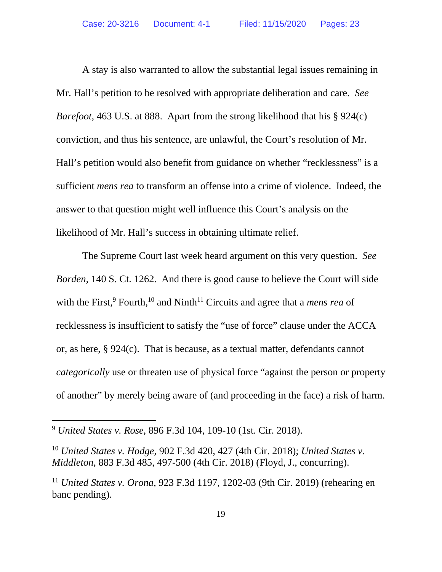A stay is also warranted to allow the substantial legal issues remaining in Mr. Hall's petition to be resolved with appropriate deliberation and care. *See Barefoot*, 463 U.S. at 888. Apart from the strong likelihood that his § 924(c) conviction, and thus his sentence, are unlawful, the Court's resolution of Mr. Hall's petition would also benefit from guidance on whether "recklessness" is a sufficient *mens rea* to transform an offense into a crime of violence. Indeed, the answer to that question might well influence this Court's analysis on the likelihood of Mr. Hall's success in obtaining ultimate relief.

The Supreme Court last week heard argument on this very question. *See Borden*, 140 S. Ct. 1262. And there is good cause to believe the Court will side with the First,<sup>9</sup> Fourth,<sup>10</sup> and Ninth<sup>11</sup> Circuits and agree that a *mens rea* of recklessness is insufficient to satisfy the "use of force" clause under the ACCA or, as here, § 924(c). That is because, as a textual matter, defendants cannot *categorically* use or threaten use of physical force "against the person or property of another" by merely being aware of (and proceeding in the face) a risk of harm.

<sup>9</sup> *United States v. Rose*, 896 F.3d 104, 109-10 (1st. Cir. 2018).

<sup>10</sup> *United States v. Hodge*, 902 F.3d 420, 427 (4th Cir. 2018); *United States v. Middleton*, 883 F.3d 485, 497-500 (4th Cir. 2018) (Floyd, J., concurring).

<sup>11</sup> *United States v. Orona*, 923 F.3d 1197, 1202-03 (9th Cir. 2019) (rehearing en banc pending).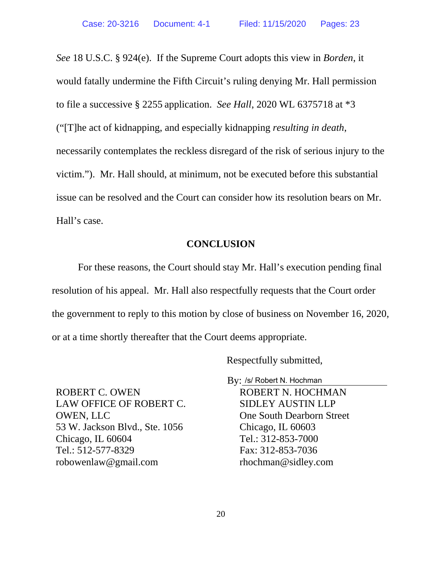*See* 18 U.S.C. § 924(e). If the Supreme Court adopts this view in *Borden*, it would fatally undermine the Fifth Circuit's ruling denying Mr. Hall permission to file a successive § 2255 application. *See Hall*, 2020 WL 6375718 at \*3 ("[T]he act of kidnapping, and especially kidnapping *resulting in death*, necessarily contemplates the reckless disregard of the risk of serious injury to the victim."). Mr. Hall should, at minimum, not be executed before this substantial issue can be resolved and the Court can consider how its resolution bears on Mr. Hall's case.

### **CONCLUSION**

 For these reasons, the Court should stay Mr. Hall's execution pending final resolution of his appeal. Mr. Hall also respectfully requests that the Court order the government to reply to this motion by close of business on November 16, 2020, or at a time shortly thereafter that the Court deems appropriate.

Respectfully submitted,

By: /s/ Robert N. Hochman

ROBERT C. OWEN LAW OFFICE OF ROBERT C. OWEN, LLC 53 W. Jackson Blvd., Ste. 1056 Chicago, IL 60604 Tel.: 512-577-8329 robowenlaw@gmail.com

ROBERT N. HOCHMAN SIDLEY AUSTIN LLP One South Dearborn Street Chicago, IL 60603 Tel.: 312-853-7000 Fax: 312-853-7036 rhochman@sidley.com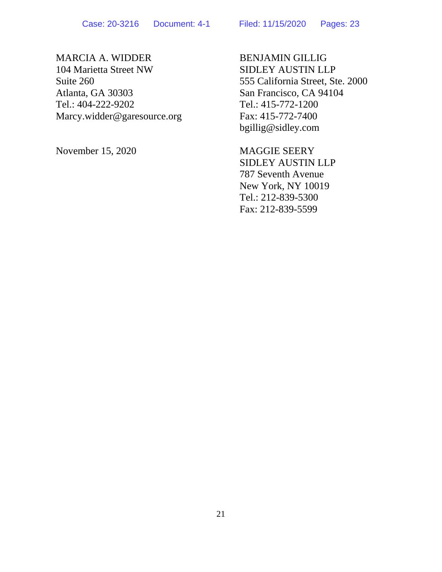# MARCIA A. WIDDER

104 Marietta Street NW Suite 260 Atlanta, GA 30303 Tel.: 404-222-9202 Marcy.widder@garesource.org

November 15, 2020

BENJAMIN GILLIG SIDLEY AUSTIN LLP 555 California Street, Ste. 2000 San Francisco, CA 94104 Tel.: 415-772-1200 Fax: 415-772-7400 bgillig@sidley.com

MAGGIE SEERY SIDLEY AUSTIN LLP 787 Seventh Avenue New York, NY 10019 Tel.: 212-839-5300 Fax: 212-839-5599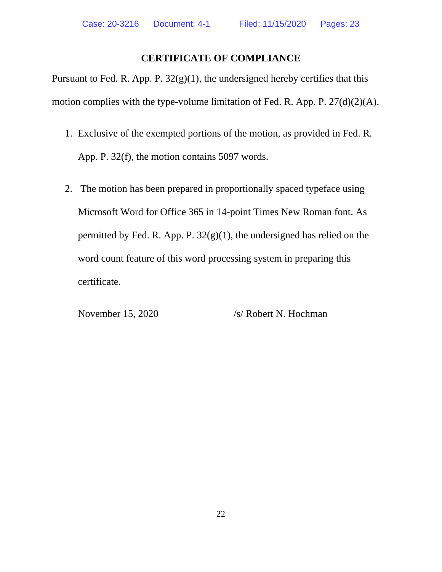# **CERTIFICATE OF COMPLIANCE**

Pursuant to Fed. R. App. P. 32(g)(1), the undersigned hereby certifies that this motion complies with the type-volume limitation of Fed. R. App. P. 27(d)(2)(A).

- 1. Exclusive of the exempted portions of the motion, as provided in Fed. R. App. P. 32(f), the motion contains 5097 words.
- 2. The motion has been prepared in proportionally spaced typeface using Microsoft Word for Office 365 in 14-point Times New Roman font. As permitted by Fed. R. App. P.  $32(g)(1)$ , the undersigned has relied on the word count feature of this word processing system in preparing this certificate.

November 15, 2020 /s/ Robert N. Hochman